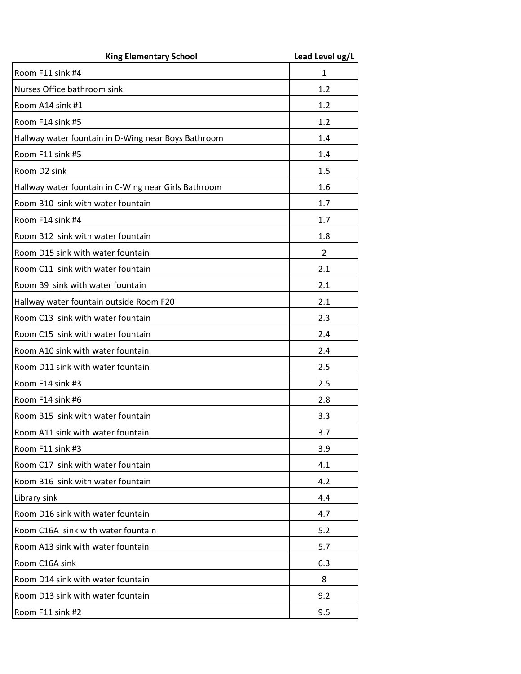| <b>King Elementary School</b>                        | Lead Level ug/L |
|------------------------------------------------------|-----------------|
| Room F11 sink #4                                     | $\mathbf{1}$    |
| Nurses Office bathroom sink                          | 1.2             |
| Room A14 sink #1                                     | 1.2             |
| Room F14 sink #5                                     | 1.2             |
| Hallway water fountain in D-Wing near Boys Bathroom  | 1.4             |
| Room F11 sink #5                                     | 1.4             |
| Room D2 sink                                         | 1.5             |
| Hallway water fountain in C-Wing near Girls Bathroom | 1.6             |
| Room B10 sink with water fountain                    | 1.7             |
| Room F14 sink #4                                     | 1.7             |
| Room B12 sink with water fountain                    | 1.8             |
| Room D15 sink with water fountain                    | $\overline{2}$  |
| Room C11 sink with water fountain                    | 2.1             |
| Room B9 sink with water fountain                     | 2.1             |
| Hallway water fountain outside Room F20              | 2.1             |
| Room C13 sink with water fountain                    | 2.3             |
| Room C15 sink with water fountain                    | 2.4             |
| Room A10 sink with water fountain                    | 2.4             |
| Room D11 sink with water fountain                    | 2.5             |
| Room F14 sink #3                                     | 2.5             |
| Room F14 sink #6                                     | 2.8             |
| Room B15 sink with water fountain                    | 3.3             |
| Room A11 sink with water fountain                    | 3.7             |
| Room F11 sink #3                                     | 3.9             |
| Room C17 sink with water fountain                    | 4.1             |
| Room B16 sink with water fountain                    | 4.2             |
| Library sink                                         | 4.4             |
| Room D16 sink with water fountain                    | 4.7             |
| Room C16A sink with water fountain                   | 5.2             |
| Room A13 sink with water fountain                    | 5.7             |
| Room C16A sink                                       | 6.3             |
| Room D14 sink with water fountain                    | 8               |
| Room D13 sink with water fountain                    | 9.2             |
| Room F11 sink #2                                     | 9.5             |
|                                                      |                 |